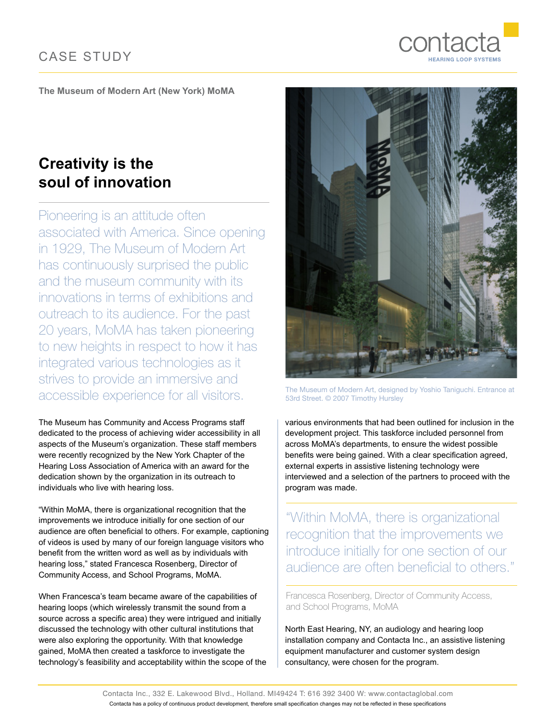

The Museum of Modern Art (New York) MoMA

## **Creativity is the soul)of)innovation**

Pioneering is an attitude often associated with America. Since opening in 1929, The Museum of Modern Art has continuously surprised the public and the museum community with its innovations in terms of exhibitions and outreach to its audience. For the past 20 years, MoMA has taken pioneering to new heights in respect to how it has integrated various technologies as it strives to provide an immersive and accessible experience for all visitors.

The Museum has Community and Access Programs staff dedicated to the process of achieving wider accessibility in all aspects of the Museum's organization. These staff members were recently recognized by the New York Chapter of the Hearing Loss Association of America with an award for the dedication shown by the organization in its outreach to individuals who live with hearing loss.

"Within MoMA, there is organizational recognition that the improvements we introduce initially for one section of our audience are often beneficial to others. For example, captioning of videos is used by many of our foreign language visitors who benefit from the written word as well as by individuals with hearing loss," stated Francesca Rosenberg, Director of Community Access, and School Programs, MoMA.

When Francesca's team became aware of the capabilities of hearing loops (which wirelessly transmit the sound from a source across a specific area) they were intrigued and initially discussed the technology with other cultural institutions that were also exploring the opportunity. With that knowledge gained, MoMA then created a taskforce to investigate the technology's feasibility and acceptability within the scope of the



The Museum of Modern Art, designed by Yoshio Taniguchi. Entrance at 53rd Street. © 2007 Timothy Hursley

various environments that had been outlined for inclusion in the development project. This taskforce included personnel from across MoMA's departments, to ensure the widest possible benefits were being gained. With a clear specification agreed, external experts in assistive listening technology were interviewed and a selection of the partners to proceed with the program was made.

"Within MoMA, there is organizational recognition that the improvements we introduce initially for one section of our audience are often beneficial to others."

Francesca Rosenberg, Director of Community Access, and School Programs, MoMA

North East Hearing, NY, an audiology and hearing loop installation company and Contacta Inc., an assistive listening equipment manufacturer and customer system design consultancy, were chosen for the program.